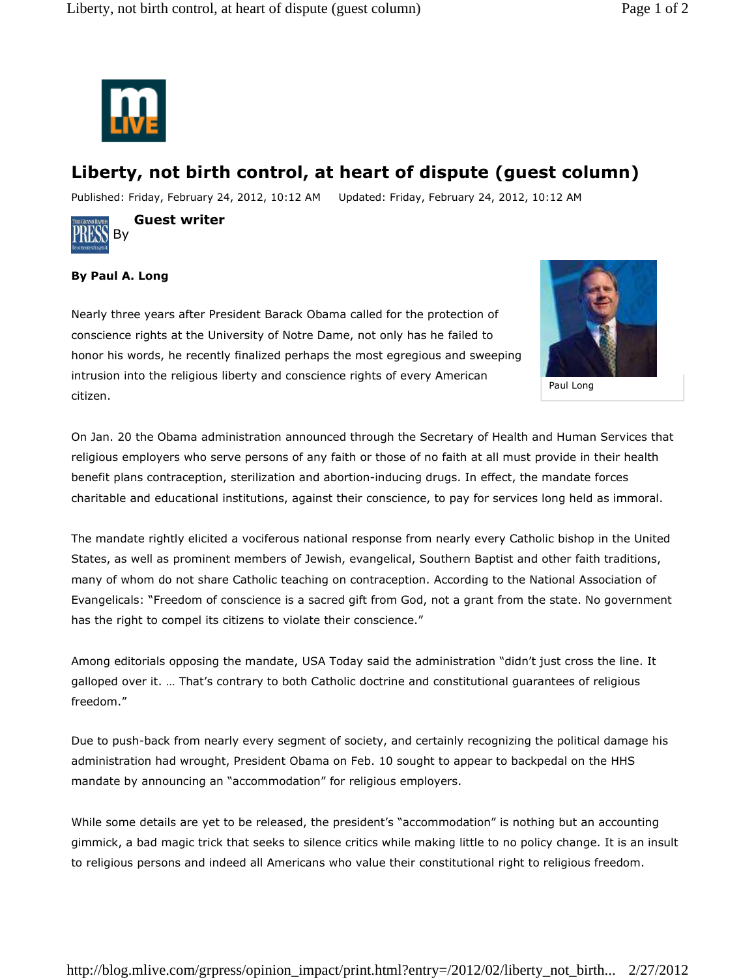

## **Liberty, not birth control, at heart of dispute (guest column)**

Published: Friday, February 24, 2012, 10:12 AM Updated: Friday, February 24, 2012, 10:12 AM



By **Guest writer** 

## **By Paul A. Long**

Nearly three years after President Barack Obama called for the protection of conscience rights at the University of Notre Dame, not only has he failed to honor his words, he recently finalized perhaps the most egregious and sweeping intrusion into the religious liberty and conscience rights of every American citizen.



Paul Long

On Jan. 20 the Obama administration announced through the Secretary of Health and Human Services that religious employers who serve persons of any faith or those of no faith at all must provide in their health benefit plans contraception, sterilization and abortion-inducing drugs. In effect, the mandate forces charitable and educational institutions, against their conscience, to pay for services long held as immoral.

The mandate rightly elicited a vociferous national response from nearly every Catholic bishop in the United States, as well as prominent members of Jewish, evangelical, Southern Baptist and other faith traditions, many of whom do not share Catholic teaching on contraception. According to the National Association of Evangelicals: "Freedom of conscience is a sacred gift from God, not a grant from the state. No government has the right to compel its citizens to violate their conscience."

Among editorials opposing the mandate, USA Today said the administration "didn't just cross the line. It galloped over it. … That's contrary to both Catholic doctrine and constitutional guarantees of religious freedom."

Due to push-back from nearly every segment of society, and certainly recognizing the political damage his administration had wrought, President Obama on Feb. 10 sought to appear to backpedal on the HHS mandate by announcing an "accommodation" for religious employers.

While some details are yet to be released, the president's "accommodation" is nothing but an accounting gimmick, a bad magic trick that seeks to silence critics while making little to no policy change. It is an insult to religious persons and indeed all Americans who value their constitutional right to religious freedom.